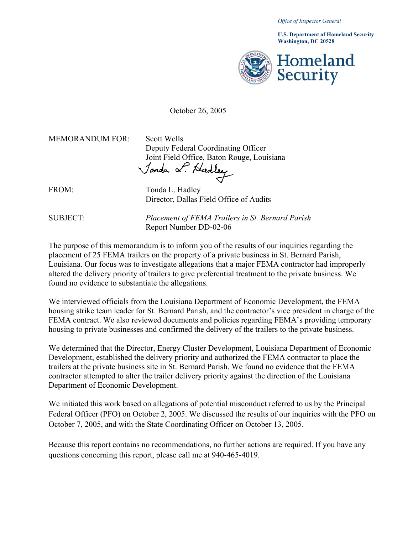*Office of Inspector General* 

**Washington, DC 20528 U.S. Department of Homeland Security** 



October 26, 2005

MEMORANDUM FOR: Scott Wells

Deputy Federal Coordinating Officer Joint Field Office, Baton Rouge, Louisiana

FROM: Tonda L. Hadley Director, Dallas Field Office of Audits

SUBJECT: *Placement of FEMA Trailers in St. Bernard Parish* Report Number DD-02-06

The purpose of this memorandum is to inform you of the results of our inquiries regarding the placement of 25 FEMA trailers on the property of a private business in St. Bernard Parish, Louisiana. Our focus was to investigate allegations that a major FEMA contractor had improperly altered the delivery priority of trailers to give preferential treatment to the private business. We found no evidence to substantiate the allegations.

We interviewed officials from the Louisiana Department of Economic Development, the FEMA housing strike team leader for St. Bernard Parish, and the contractor's vice president in charge of the FEMA contract. We also reviewed documents and policies regarding FEMA's providing temporary housing to private businesses and confirmed the delivery of the trailers to the private business.

We determined that the Director, Energy Cluster Development, Louisiana Department of Economic Development, established the delivery priority and authorized the FEMA contractor to place the trailers at the private business site in St. Bernard Parish. We found no evidence that the FEMA contractor attempted to alter the trailer delivery priority against the direction of the Louisiana Department of Economic Development.

We initiated this work based on allegations of potential misconduct referred to us by the Principal Federal Officer (PFO) on October 2, 2005. We discussed the results of our inquiries with the PFO on October 7, 2005, and with the State Coordinating Officer on October 13, 2005.

Because this report contains no recommendations, no further actions are required. If you have any questions concerning this report, please call me at 940-465-4019.